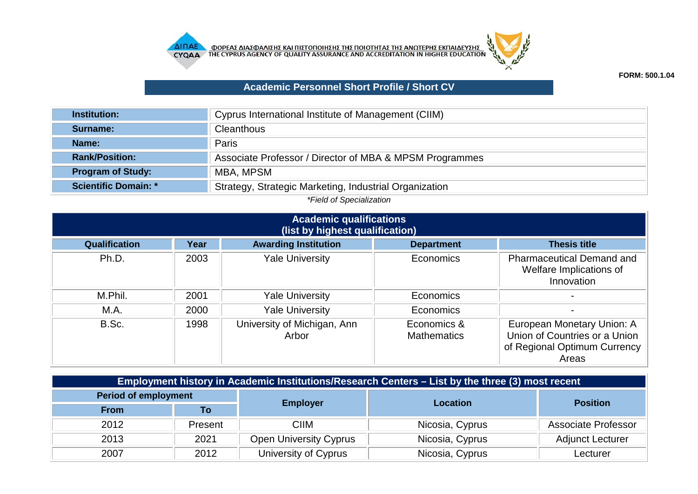



## **Academic Personnel Short Profile / Short CV**

| <b>Institution:</b>         | Cyprus International Institute of Management (CIIM)     |
|-----------------------------|---------------------------------------------------------|
| Surname:                    | Cleanthous                                              |
| <b>Name:</b>                | Paris                                                   |
| <b>Rank/Position:</b>       | Associate Professor / Director of MBA & MPSM Programmes |
| <b>Program of Study:</b>    | MBA, MPSM                                               |
| <b>Scientific Domain: *</b> | Strategy, Strategic Marketing, Industrial Organization  |

*\*Field of Specialization*

| <b>Academic qualifications</b><br>(list by highest qualification) |      |                                      |                                   |                                                                                                      |  |
|-------------------------------------------------------------------|------|--------------------------------------|-----------------------------------|------------------------------------------------------------------------------------------------------|--|
| <b>Qualification</b>                                              | Year | <b>Awarding Institution</b>          | <b>Department</b>                 | <b>Thesis title</b>                                                                                  |  |
| Ph.D.                                                             | 2003 | <b>Yale University</b>               | Economics                         | <b>Pharmaceutical Demand and</b><br>Welfare Implications of<br>Innovation                            |  |
| M.Phil.                                                           | 2001 | <b>Yale University</b>               | Economics                         |                                                                                                      |  |
| M.A.                                                              | 2000 | <b>Yale University</b>               | Economics                         |                                                                                                      |  |
| B.Sc.                                                             | 1998 | University of Michigan, Ann<br>Arbor | Economics &<br><b>Mathematics</b> | European Monetary Union: A<br>Union of Countries or a Union<br>of Regional Optimum Currency<br>Areas |  |

| Employment history in Academic Institutions/Research Centers – List by the three (3) most recent |         |                               |                 |                         |  |
|--------------------------------------------------------------------------------------------------|---------|-------------------------------|-----------------|-------------------------|--|
| <b>Period of employment</b>                                                                      |         |                               | <b>Location</b> | <b>Position</b>         |  |
| <b>From</b>                                                                                      | To      | <b>Employer</b>               |                 |                         |  |
| 2012                                                                                             | Present | <b>CIIM</b>                   | Nicosia, Cyprus | Associate Professor     |  |
| 2013                                                                                             | 2021    | <b>Open University Cyprus</b> | Nicosia, Cyprus | <b>Adjunct Lecturer</b> |  |
| 2007                                                                                             | 2012    | University of Cyprus          | Nicosia, Cyprus | Lecturer                |  |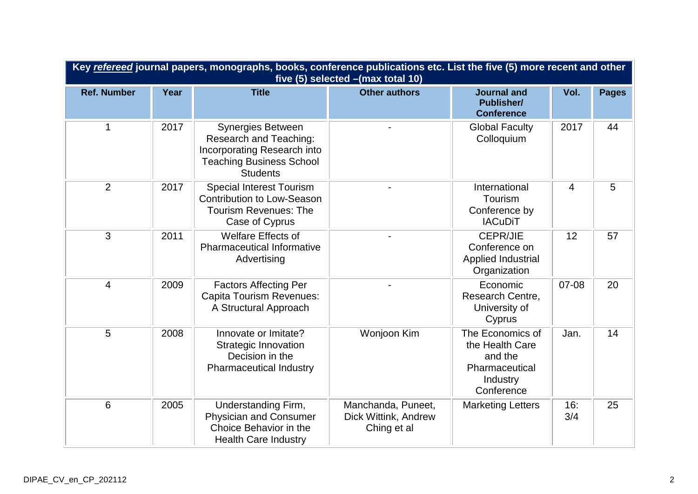| Key refereed journal papers, monographs, books, conference publications etc. List the five (5) more recent and other<br>five (5) selected - (max total 10) |      |                                                                                                                                         |                                                           |                                                                                            |                |              |
|------------------------------------------------------------------------------------------------------------------------------------------------------------|------|-----------------------------------------------------------------------------------------------------------------------------------------|-----------------------------------------------------------|--------------------------------------------------------------------------------------------|----------------|--------------|
| <b>Ref. Number</b>                                                                                                                                         | Year | <b>Title</b>                                                                                                                            | <b>Other authors</b>                                      | <b>Journal and</b><br><b>Publisher/</b><br><b>Conference</b>                               | Vol.           | <b>Pages</b> |
| $\mathbf 1$                                                                                                                                                | 2017 | <b>Synergies Between</b><br>Research and Teaching:<br>Incorporating Research into<br><b>Teaching Business School</b><br><b>Students</b> |                                                           | <b>Global Faculty</b><br>Colloquium                                                        | 2017           | 44           |
| $\overline{2}$                                                                                                                                             | 2017 | <b>Special Interest Tourism</b><br><b>Contribution to Low-Season</b><br><b>Tourism Revenues: The</b><br>Case of Cyprus                  |                                                           | International<br>Tourism<br>Conference by<br><b>IACuDiT</b>                                | $\overline{4}$ | 5            |
| $\overline{3}$                                                                                                                                             | 2011 | <b>Welfare Effects of</b><br><b>Pharmaceutical Informative</b><br>Advertising                                                           |                                                           | CEPR/JIE<br>Conference on<br>Applied Industrial<br>Organization                            | 12             | 57           |
| 4                                                                                                                                                          | 2009 | <b>Factors Affecting Per</b><br><b>Capita Tourism Revenues:</b><br>A Structural Approach                                                |                                                           | Economic<br>Research Centre,<br>University of<br>Cyprus                                    | 07-08          | 20           |
| 5                                                                                                                                                          | 2008 | Innovate or Imitate?<br><b>Strategic Innovation</b><br>Decision in the<br><b>Pharmaceutical Industry</b>                                | Wonjoon Kim                                               | The Economics of<br>the Health Care<br>and the<br>Pharmaceutical<br>Industry<br>Conference | Jan.           | 14           |
| 6                                                                                                                                                          | 2005 | Understanding Firm,<br><b>Physician and Consumer</b><br>Choice Behavior in the<br><b>Health Care Industry</b>                           | Manchanda, Puneet,<br>Dick Wittink, Andrew<br>Ching et al | <b>Marketing Letters</b>                                                                   | 16:<br>3/4     | 25           |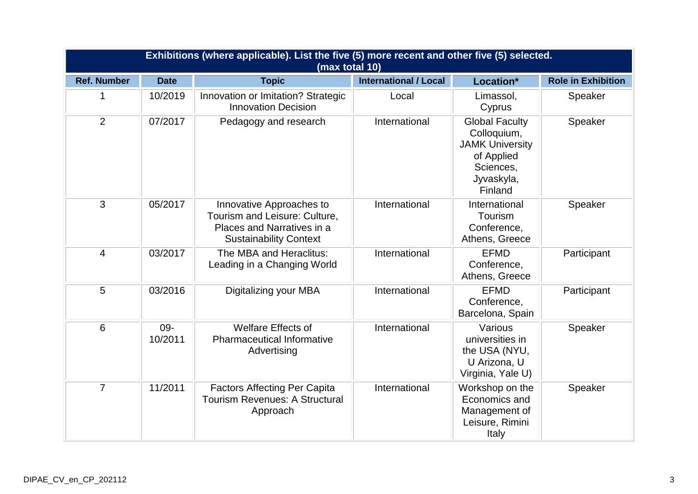|                    | Exhibitions (where applicable). List the five (5) more recent and other five (5) selected.<br>(max total 10) |                                                                                                                          |                              |                                                                                                                    |                           |  |  |
|--------------------|--------------------------------------------------------------------------------------------------------------|--------------------------------------------------------------------------------------------------------------------------|------------------------------|--------------------------------------------------------------------------------------------------------------------|---------------------------|--|--|
| <b>Ref. Number</b> | <b>Date</b>                                                                                                  | <b>Topic</b>                                                                                                             | <b>International / Local</b> | Location*                                                                                                          | <b>Role in Exhibition</b> |  |  |
| 1                  | 10/2019                                                                                                      | Innovation or Imitation? Strategic<br><b>Innovation Decision</b>                                                         | Local                        | Limassol,<br>Cyprus                                                                                                | Speaker                   |  |  |
| $\overline{2}$     | 07/2017                                                                                                      | Pedagogy and research                                                                                                    | International                | <b>Global Faculty</b><br>Colloquium,<br><b>JAMK University</b><br>of Applied<br>Sciences,<br>Jyvaskyla,<br>Finland | Speaker                   |  |  |
| 3                  | 05/2017                                                                                                      | Innovative Approaches to<br>Tourism and Leisure: Culture,<br>Places and Narratives in a<br><b>Sustainability Context</b> | International                | International<br>Tourism<br>Conference,<br>Athens, Greece                                                          | Speaker                   |  |  |
| $\overline{4}$     | 03/2017                                                                                                      | The MBA and Heraclitus:<br>Leading in a Changing World                                                                   | International                | <b>EFMD</b><br>Conference,<br>Athens, Greece                                                                       | Participant               |  |  |
| 5                  | 03/2016                                                                                                      | Digitalizing your MBA                                                                                                    | International                | <b>EFMD</b><br>Conference,<br>Barcelona, Spain                                                                     | Participant               |  |  |
| 6                  | 09-<br>10/2011                                                                                               | <b>Welfare Effects of</b><br><b>Pharmaceutical Informative</b><br>Advertising                                            | International                | Various<br>universities in<br>the USA (NYU,<br>U Arizona, U<br>Virginia, Yale U)                                   | Speaker                   |  |  |
| $\overline{7}$     | 11/2011                                                                                                      | <b>Factors Affecting Per Capita</b><br><b>Tourism Revenues: A Structural</b><br>Approach                                 | International                | Workshop on the<br>Economics and<br>Management of<br>Leisure, Rimini<br>Italy                                      | Speaker                   |  |  |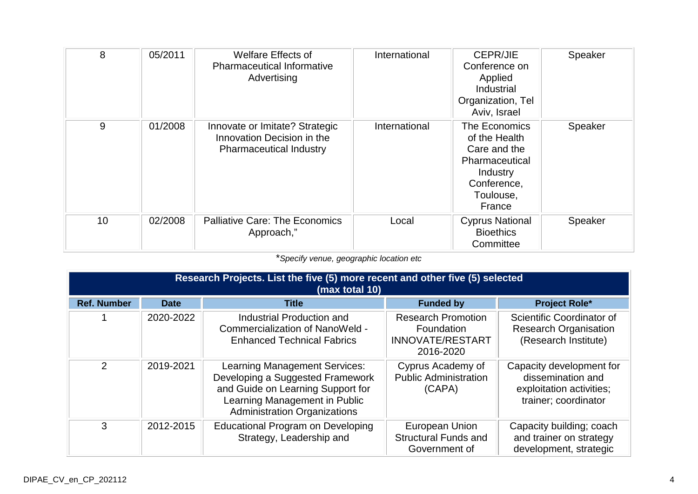| 8  | 05/2011 | <b>Welfare Effects of</b><br><b>Pharmaceutical Informative</b><br>Advertising                  | International | <b>CEPR/JIE</b><br>Conference on<br>Applied<br>Industrial<br>Organization, Tel<br>Aviv, Israel                     | Speaker |
|----|---------|------------------------------------------------------------------------------------------------|---------------|--------------------------------------------------------------------------------------------------------------------|---------|
| 9  | 01/2008 | Innovate or Imitate? Strategic<br>Innovation Decision in the<br><b>Pharmaceutical Industry</b> | International | The Economics<br>of the Health<br>Care and the<br>Pharmaceutical<br>Industry<br>Conference,<br>Toulouse,<br>France | Speaker |
| 10 | 02/2008 | <b>Palliative Care: The Economics</b><br>Approach,"                                            | Local         | <b>Cyprus National</b><br><b>Bioethics</b><br>Committee                                                            | Speaker |

\**Specify venue, geographic location etc*

|                    | Research Projects. List the five (5) more recent and other five (5) selected<br>(max total 10) |                                                                                                                                                                                       |                                                                                 |                                                                                                   |  |  |
|--------------------|------------------------------------------------------------------------------------------------|---------------------------------------------------------------------------------------------------------------------------------------------------------------------------------------|---------------------------------------------------------------------------------|---------------------------------------------------------------------------------------------------|--|--|
| <b>Ref. Number</b> | <b>Date</b>                                                                                    | <b>Title</b>                                                                                                                                                                          | <b>Funded by</b>                                                                | <b>Project Role*</b>                                                                              |  |  |
|                    | 2020-2022                                                                                      | Industrial Production and<br>Commercialization of NanoWeld -<br><b>Enhanced Technical Fabrics</b>                                                                                     | <b>Research Promotion</b><br>Foundation<br><b>INNOVATE/RESTART</b><br>2016-2020 | Scientific Coordinator of<br><b>Research Organisation</b><br>(Research Institute)                 |  |  |
| $\overline{2}$     | 2019-2021                                                                                      | <b>Learning Management Services:</b><br>Developing a Suggested Framework<br>and Guide on Learning Support for<br>Learning Management in Public<br><b>Administration Organizations</b> | Cyprus Academy of<br><b>Public Administration</b><br>(CAPA)                     | Capacity development for<br>dissemination and<br>exploitation activities;<br>trainer; coordinator |  |  |
| 3                  | 2012-2015                                                                                      | <b>Educational Program on Developing</b><br>Strategy, Leadership and                                                                                                                  | European Union<br><b>Structural Funds and</b><br>Government of                  | Capacity building; coach<br>and trainer on strategy<br>development, strategic                     |  |  |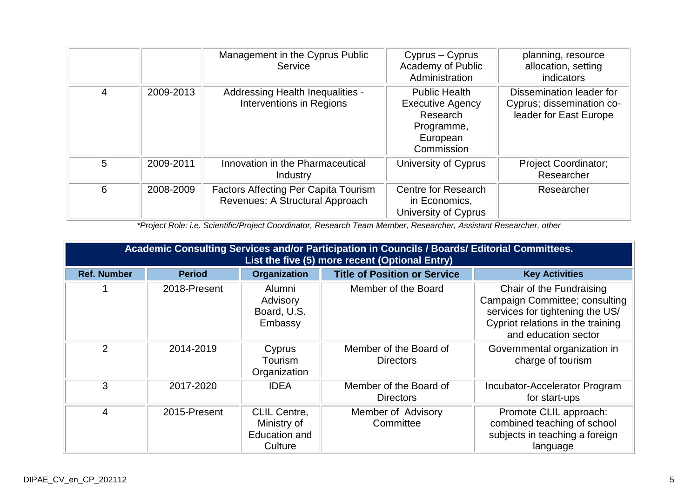|   |           | Management in the Cyprus Public<br>Service                                     | Cyprus – Cyprus<br>Academy of Public<br>Administration                                              | planning, resource<br>allocation, setting<br>indicators                         |
|---|-----------|--------------------------------------------------------------------------------|-----------------------------------------------------------------------------------------------------|---------------------------------------------------------------------------------|
| 4 | 2009-2013 | Addressing Health Inequalities -<br>Interventions in Regions                   | <b>Public Health</b><br><b>Executive Agency</b><br>Research<br>Programme,<br>European<br>Commission | Dissemination leader for<br>Cyprus; dissemination co-<br>leader for East Europe |
| 5 | 2009-2011 | Innovation in the Pharmaceutical<br>Industry                                   | University of Cyprus                                                                                | <b>Project Coordinator;</b><br>Researcher                                       |
| 6 | 2008-2009 | <b>Factors Affecting Per Capita Tourism</b><br>Revenues: A Structural Approach | Centre for Research<br>in Economics,<br>University of Cyprus                                        | Researcher                                                                      |

*\*Project Role: i.e. Scientific/Project Coordinator, Research Team Member, Researcher, Assistant Researcher, other*

| Academic Consulting Services and/or Participation in Councils / Boards/ Editorial Committees.<br>List the five (5) more recent (Optional Entry) |               |                                                                       |                                            |                                                                                                                                                            |  |
|-------------------------------------------------------------------------------------------------------------------------------------------------|---------------|-----------------------------------------------------------------------|--------------------------------------------|------------------------------------------------------------------------------------------------------------------------------------------------------------|--|
| <b>Ref. Number</b>                                                                                                                              | <b>Period</b> | <b>Organization</b>                                                   | <b>Title of Position or Service</b>        | <b>Key Activities</b>                                                                                                                                      |  |
|                                                                                                                                                 | 2018-Present  | Alumni<br>Advisory<br>Board, U.S.<br>Embassy                          | Member of the Board                        | Chair of the Fundraising<br>Campaign Committee; consulting<br>services for tightening the US/<br>Cypriot relations in the training<br>and education sector |  |
| 2                                                                                                                                               | 2014-2019     | Cyprus<br>Tourism<br>Organization                                     | Member of the Board of<br><b>Directors</b> | Governmental organization in<br>charge of tourism                                                                                                          |  |
| 3                                                                                                                                               | 2017-2020     | <b>IDEA</b>                                                           | Member of the Board of<br><b>Directors</b> | Incubator-Accelerator Program<br>for start-ups                                                                                                             |  |
| 4                                                                                                                                               | 2015-Present  | <b>CLIL Centre,</b><br>Ministry of<br><b>Education and</b><br>Culture | Member of Advisory<br>Committee            | Promote CLIL approach:<br>combined teaching of school<br>subjects in teaching a foreign<br>language                                                        |  |